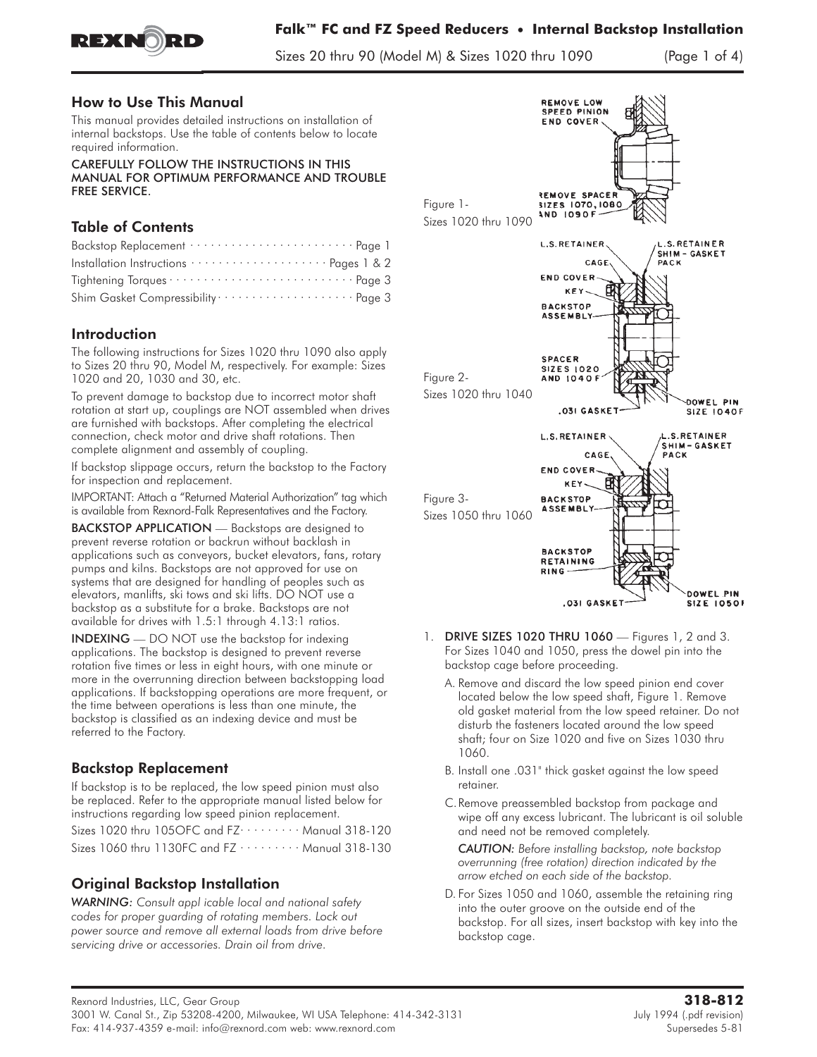

Sizes 20 thru 90 (Model M) & Sizes 1020 thru 1090 (Page 1 of 4)

### How to Use This Manual

This manual provides detailed instructions on installation of internal backstops. Use the table of contents below to locate required information.

CAREFULLY FOLLOW THE INSTRUCTIONS IN THIS MANUAL FOR OPTIMUM PERFORMANCE AND TROUBLE FREE SERVICE.

# Table of Contents

| Tightening Torques  Page 3                                  |
|-------------------------------------------------------------|
| Shim Gasket Compressibility ························ Page 3 |

## Introduction

The following instructions for Sizes 1020 thru 1090 also apply to Sizes 20 thru 90, Model M, respectively. For example: Sizes 1020 and 20, 1030 and 30, etc.

To prevent damage to backstop due to incorrect motor shaft rotation at start up, couplings are NOT assembled when drives are furnished with backstops. After completing the electrical connection, check motor and drive shaft rotations. Then complete alignment and assembly of coupling.

**If backstop slippage occurs,** return the backstop to the Factory for inspection and replacement.

IMPORTANT: Attach a "Returned Material Authorization" tag which is available from Rexnord-Falk Representatives and the Factory.

BACKSTOP APPLICATION - Backstops are designed to prevent reverse rotation or backrun without backlash in applications such as conveyors, bucket elevators, fans, rotary pumps and kilns. Backstops are not approved for use on systems that are designed for handling of peoples such as elevators, manlifts, ski tows and ski lifts. DO NOT use a backstop as a substitute for a brake. Backstops are not available for drives with 1.5:1 through 4.13:1 ratios.

INDEXING — DO NOT use the backstop for indexing applications. The backstop is designed to prevent reverse rotation five times or less in eight hours, with one minute or more in the overrunning direction between backstopping load applications. If backstopping operations are more frequent, or the time between operations is less than one minute, the backstop is classified as an indexing device and must be referred to the Factory.

# Backstop Replacement

If backstop is to be replaced, the low speed pinion must also be replaced. Refer to the appropriate manual listed below for instructions regarding low speed pinion replacement.

Sizes 1020 thru 105OFC and FZ $\cdots$  ...... Manual 318-120 Sizes 1060 thru 1130FC and  $FZ \cdots \cdots \cdots$  Manual 318-130

# Original Backstop Installation

*WARNING: Consult appl icable local and national safety codes for proper guarding of rotating members. Lock out power source and remove all external loads from drive before servicing drive or accessories. Drain oil from drive.*



- **1.** DRIVE SIZES 1020 THRU 1060 Figures 1, 2 and 3. For Sizes 1040 and 1050, press the dowel pin into the backstop cage before proceeding.
	- A. Remove and discard the low speed pinion end cover located below the low speed shaft, Figure 1. Remove old gasket material from the low speed retainer. Do not disturb the fasteners located around the low speed shaft; four on Size 1020 and five on Sizes 1030 thru 1060.
	- B. Install one .031" thick gasket against the low speed retainer.
	- C.Remove preassembled backstop from package and wipe off any excess lubricant. The lubricant is oil soluble and need not be removed completely.

*CAUTION: Before installing backstop, note backstop overrunning (free rotation) direction indicated by the arrow etched on each side of the backstop.*

D. For Sizes 1050 and 1060, assemble the retaining ring into the outer groove on the outside end of the backstop. For all sizes, insert backstop with key into the backstop cage.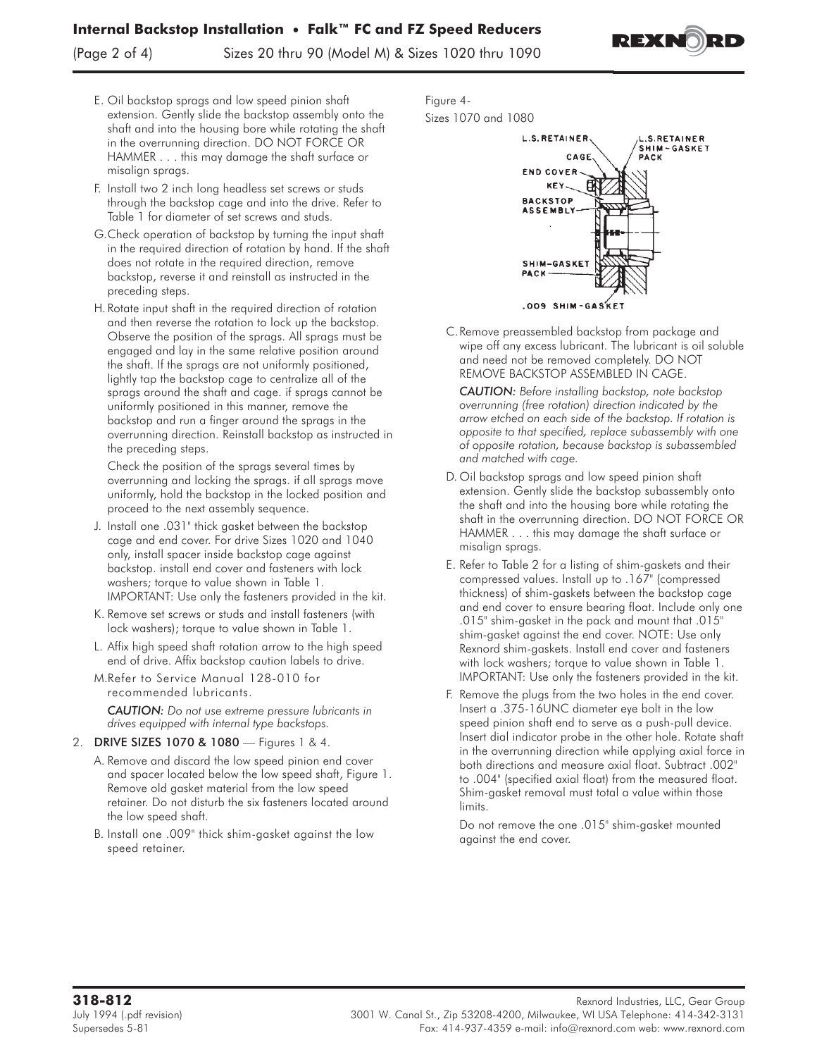## **Internal Backstop Installation** • **Falk™ FC and FZ Speed Reducers**

(Page 2 of 4) Sizes 20 thru 90 (Model M) & Sizes 1020 thru 1090



- E. Oil backstop sprags and low speed pinion shaft extension. Gently slide the backstop assembly onto the shaft and into the housing bore while rotating the shaft in the overrunning direction. **DO NOT FORCE OR HAMMER...** this may damage the shaft surface or misalign sprags.
- F. Install two 2 inch long headless set screws or studs through the backstop cage and into the drive. Refer to Table 1 for diameter of set screws and studs.
- G.Check operation of backstop by turning the input shaft in the required direction of rotation by hand. If the shaft does not rotate in the required direction, remove backstop, reverse it and reinstall as instructed in the preceding steps.
- H.Rotate input shaft in the required direction of rotation and then reverse the rotation to lock up the backstop. Observe the position of the sprags. All sprags must be engaged and lay in the same relative position around the shaft. If the sprags are not uniformly positioned, lightly tap the backstop cage to centralize all of the sprags around the shaft and cage. if sprags cannot be uniformly positioned in this manner, remove the backstop and run a finger around the sprags in the overrunning direction. Reinstall backstop as instructed in the preceding steps.

Check the position of the sprags several times by overrunning and locking the sprags. if all sprags move uniformly, hold the backstop in the locked position and proceed to the next assembly sequence.

- J. Install one .031" thick gasket between the backstop cage and end cover. For drive Sizes 1020 and 1040 only, install spacer inside backstop cage against backstop. install end cover and fasteners with lock washers; torque to value shown in Table 1. IMPORTANT: Use only the fasteners provided in the kit.
- K. Remove set screws or studs and install fasteners (with lock washers); torque to value shown in Table 1.
- L. Affix high speed shaft rotation arrow to the high speed end of drive. Affix backstop caution labels to drive.
- M.Refer to Service Manual 128-010 for recommended lubricants.

*CAUTION: Do not use extreme pressure lubricants in drives equipped with internal type backstops.*

- **2.** DRIVE SIZES 1070 & 1080 Figures 1 & 4.
	- A. Remove and discard the low speed pinion end cover and spacer located below the low speed shaft, Figure 1. Remove old gasket material from the low speed retainer. Do not disturb the six fasteners located around the low speed shaft.
	- B. Install one .009" thick shim-gasket against the low speed retainer.

**Figure 4- Sizes 1070 and 1080**



C.Remove preassembled backstop from package and wipe off any excess lubricant. The lubricant is oil soluble and need not be removed completely. DO NOT REMOVE BACKSTOP ASSEMBLED IN CAGE.

*CAUTION: Before installing backstop, note backstop overrunning (free rotation) direction indicated by the arrow etched on each side of the backstop. If rotation is opposite to that specified, replace subassembly with one of opposite rotation, because backstop is subassembled and matched with cage.*

- D. Oil backstop sprags and low speed pinion shaft extension. Gently slide the backstop subassembly onto the shaft and into the housing bore while rotating the shaft in the overrunning direction. DO NOT FORCE OR HAMMER . . . this may damage the shaft surface or misalign sprags.
- E. Refer to Table 2 for a listing of shim-gaskets and their compressed values. Install up to .167" (compressed thickness) of shim-gaskets between the backstop cage and end cover to ensure bearing float. Include only one .015" shim-gasket in the pack and mount that .015" shim-gasket against the end cover. NOTE: Use only Rexnord shim-gaskets. Install end cover and fasteners with lock washers; torque to value shown in Table 1. IMPORTANT: Use only the fasteners provided in the kit.
- F. Remove the plugs from the two holes in the end cover. Insert a .375-16UNC diameter eye bolt in the low speed pinion shaft end to serve as a push-pull device. Insert dial indicator probe in the other hole. Rotate shaft in the overrunning direction while applying axial force in both directions and measure axial float. Subtract .002" to .004" (specified axial float) from the measured float. Shim-gasket removal must total a value within those limits.

Do not remove the one .015" shim-gasket mounted against the end cover.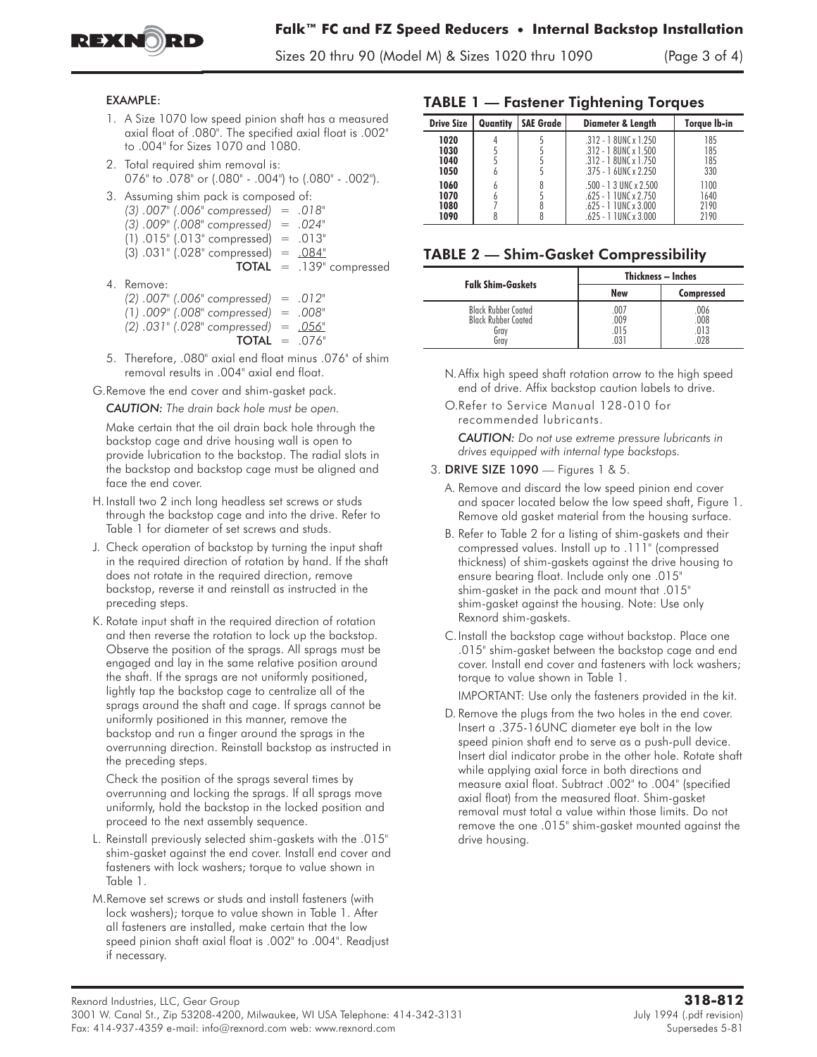

Sizes 20 thru 90 (Model M) & Sizes 1020 thru 1090 (Page 3 of 4)

#### EXAMPLE:

- 1. A Size 1070 low speed pinion shaft has a measured axial float of .080". The specified axial float is .002" to .004" for Sizes 1070 and 1080.
- 2. Total required shim removal is: 076" to .078" or (.080" - .004") to (.080" - .002").
- 3. Assuming shim pack is composed of:
	- *(3) .007" (.006" compressed) = .018"*
	- *(3) .009" (.008" compressed) = .024"*  $(1)$  .015" (.013" compressed) = .013"
	- $(3)$  .031" (.028" compressed) = .084"
		- TOTAL *=* .139" compressed
- 4. Remove:
	- *(2) .007" (.006" compressed) = .012"*
	- *(*1*) .009" (.008" compressed) = .008"*
	- *(2) .031" (.028" compressed) = .056"*
		- TOTAL *=* .076"
- 5. Therefore, .080" axial end float minus .076" of shim removal results in .004" axial end float.

G.Remove the end cover and shim-gasket pack.

*CAUTION: The drain back hole must be open.*

Make certain that the oil drain back hole through the backstop cage and drive housing wall is open to provide lubrication to the backstop. The radial slots in the backstop and backstop cage must be aligned and face the end cover.

- H.Install two 2 inch long headless set screws or studs through the backstop cage and into the drive. Refer to Table 1 for diameter of set screws and studs.
- J. Check operation of backstop by turning the input shaft in the required direction of rotation by hand. If the shaft does not rotate in the required direction, remove backstop, reverse it and reinstall as instructed in the preceding steps.
- K. Rotate input shaft in the required direction of rotation and then reverse the rotation to lock up the backstop. Observe the position of the sprags. All sprags must be engaged and lay in the same relative position around the shaft. If the sprags are not uniformly positioned, lightly tap the backstop cage to centralize all of the sprags around the shaft and cage. If sprags cannot be uniformly positioned in this manner, remove the backstop and run a finger around the sprags in the overrunning direction. Reinstall backstop as instructed in the preceding steps.

Check the position of the sprags several times by overrunning and locking the sprags. If all sprags move uniformly, hold the backstop in the locked position and proceed to the next assembly sequence.

- L. Reinstall previously selected shim-gaskets with the .015" shim-gasket against the end cover. Install end cover and fasteners with lock washers; torque to value shown in Table 1.
- M.Remove set screws or studs and install fasteners (with lock washers); torque to value shown in Table 1. After all fasteners are installed, make certain that the low speed pinion shaft axial float is .002" to .004". Readjust if necessary.

## TABLE 1 — Fastener Tightening Torques

| <b>Drive Size</b>            | Quantity | <b>SAE Grade</b> | <b>Diameter &amp; Length</b>                                                                               | Torque Ib-in                 |
|------------------------------|----------|------------------|------------------------------------------------------------------------------------------------------------|------------------------------|
| 1020<br>1030<br>1040<br>1050 | b        |                  | $.312 - 18$ UNC x 1.250<br>$.312 - 18$ UNC x $1.500$<br>$.312 - 18$ UNC x 1.750<br>$.375 - 16$ UNC x 2.250 | 185<br>185<br>185<br>330     |
| 1060<br>1070<br>1080<br>1090 | b<br>6   | 8                | $.500 - 13$ UNC x 2.500<br>$.625 - 1$ TUNC x 2.750<br>$.625 - 1$ TUNC x 3.000<br>$.625 - 1$ 1 UNC x 3.000  | 1100<br>1640<br>2190<br>2190 |

### TABLE 2 — Shim-Gasket Compressibility

| <b>Falk Shim-Gaskets</b>                                                 | Thickness - Inches         |                             |
|--------------------------------------------------------------------------|----------------------------|-----------------------------|
|                                                                          | <b>New</b>                 | Compressed                  |
| <b>Black Rubber Coated</b><br><b>Black Rubber Coated</b><br>Gray<br>Grav | .007<br>.009<br>015<br>031 | .006<br>.008<br>.013<br>በንጸ |

- N.Affix high speed shaft rotation arrow to the high speed end of drive. Affix backstop caution labels to drive.
- O.Refer to Service Manual 128-010 for recommended lubricants.

*CAUTION: Do not use extreme pressure lubricants in drives equipped with internal type backstops.*

#### **3.** DRIVE SIZE 1090 — Figures 1 & 5.

- A. Remove and discard the low speed pinion end cover and spacer located below the low speed shaft, Figure 1. Remove old gasket material from the housing surface.
- B. Refer to Table 2 for a listing of shim-gaskets and their compressed values. Install up to .111" (compressed thickness) of shim-gaskets against the drive housing to ensure bearing float. Include only one .015" shim-gasket in the pack and mount that .015" shim-gasket against the housing. Note: Use only Rexnord shim-gaskets.
- C.Install the backstop cage without backstop. Place one .015" shim-gasket between the backstop cage and end cover. Install end cover and fasteners with lock washers; torque to value shown in Table 1.

IMPORTANT: Use only the fasteners provided in the kit.

D. **Remove the plugs from the two holes in the end cover. Insert a .375-16UNC diameter eye bolt in the low speed pinion shaft end to serve as a push-pull device. Insert dial indicator probe in the other hole. Rotate shaft while applying axial force in both directions and measure axial float. Subtract .002" to .004" (specified axial float) from the measured float. Shim-gasket removal must total a value within those limits. Do not remove the one .015" shim-gasket mounted against the drive housing.**